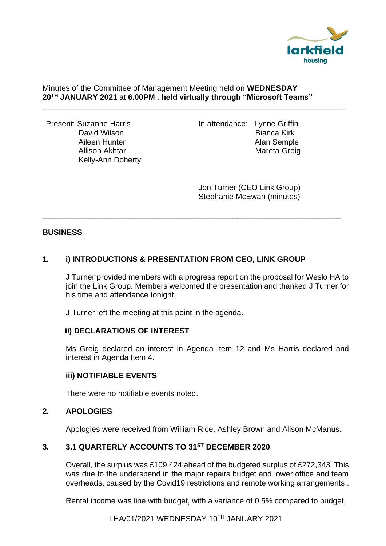

#### Minutes of the Committee of Management Meeting held on **WEDNESDAY 20TH JANUARY 2021** at **6.00PM , held virtually through "Microsoft Teams"**

\_\_\_\_\_\_\_\_\_\_\_\_\_\_\_\_\_\_\_\_\_\_\_\_\_\_\_\_\_\_\_\_\_\_\_\_\_\_\_\_\_\_\_\_\_\_\_\_\_\_\_\_\_\_\_\_\_\_\_\_\_\_\_\_\_\_\_\_\_\_

\_\_\_\_\_\_\_\_\_\_\_\_\_\_\_\_\_\_\_\_\_\_\_\_\_\_\_\_\_\_\_\_\_\_\_\_\_\_\_\_\_\_\_\_\_\_\_\_\_\_\_\_\_\_\_\_\_\_\_\_\_\_\_\_\_\_\_\_\_

Kelly-Ann Doherty

Present: Suzanne Harris **In attendance: Lynne Griffin** David Wilson **Bianca Kirk**<br>Aileen Hunter **Bianca Kirk**<br>Alan Semple Alan Semple Allison Akhtar Mareta Greig

> Jon Turner (CEO Link Group) Stephanie McEwan (minutes)

### **BUSINESS**

# **1. i) INTRODUCTIONS & PRESENTATION FROM CEO, LINK GROUP**

J Turner provided members with a progress report on the proposal for Weslo HA to join the Link Group. Members welcomed the presentation and thanked J Turner for his time and attendance tonight.

J Turner left the meeting at this point in the agenda.

### **ii) DECLARATIONS OF INTEREST**

Ms Greig declared an interest in Agenda Item 12 and Ms Harris declared and interest in Agenda Item 4.

### **iii) NOTIFIABLE EVENTS**

There were no notifiable events noted.

### **2. APOLOGIES**

Apologies were received from William Rice, Ashley Brown and Alison McManus.

# **3. 3.1 QUARTERLY ACCOUNTS TO 31ST DECEMBER 2020**

Overall, the surplus was £109,424 ahead of the budgeted surplus of £272,343. This was due to the underspend in the major repairs budget and lower office and team overheads, caused by the Covid19 restrictions and remote working arrangements .

Rental income was line with budget, with a variance of 0.5% compared to budget,

LHA/01/2021 WEDNESDAY 10TH JANUARY 2021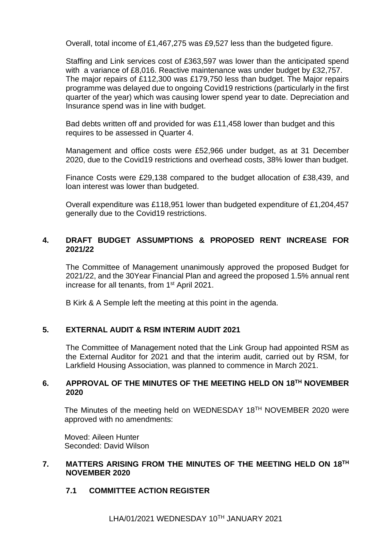Overall, total income of £1,467,275 was £9,527 less than the budgeted figure.

Staffing and Link services cost of £363,597 was lower than the anticipated spend with a variance of £8,016. Reactive maintenance was under budget by £32,757. The major repairs of £112,300 was £179,750 less than budget. The Major repairs programme was delayed due to ongoing Covid19 restrictions (particularly in the first quarter of the year) which was causing lower spend year to date. Depreciation and Insurance spend was in line with budget.

Bad debts written off and provided for was £11,458 lower than budget and this requires to be assessed in Quarter 4.

Management and office costs were £52,966 under budget, as at 31 December 2020, due to the Covid19 restrictions and overhead costs, 38% lower than budget.

Finance Costs were £29,138 compared to the budget allocation of £38,439, and loan interest was lower than budgeted.

Overall expenditure was £118,951 lower than budgeted expenditure of £1,204,457 generally due to the Covid19 restrictions.

## **4. DRAFT BUDGET ASSUMPTIONS & PROPOSED RENT INCREASE FOR 2021/22**

The Committee of Management unanimously approved the proposed Budget for 2021/22, and the 30Year Financial Plan and agreed the proposed 1.5% annual rent increase for all tenants, from 1st April 2021.

B Kirk & A Semple left the meeting at this point in the agenda.

### **5. EXTERNAL AUDIT & RSM INTERIM AUDIT 2021**

The Committee of Management noted that the Link Group had appointed RSM as the External Auditor for 2021 and that the interim audit, carried out by RSM, for Larkfield Housing Association, was planned to commence in March 2021.

### **6. APPROVAL OF THE MINUTES OF THE MEETING HELD ON 18TH NOVEMBER 2020**

The Minutes of the meeting held on WEDNESDAY 18TH NOVEMBER 2020 were approved with no amendments:

Moved: Aileen Hunter Seconded: David Wilson

#### **7. MATTERS ARISING FROM THE MINUTES OF THE MEETING HELD ON 18TH NOVEMBER 2020**

### **7.1 COMMITTEE ACTION REGISTER**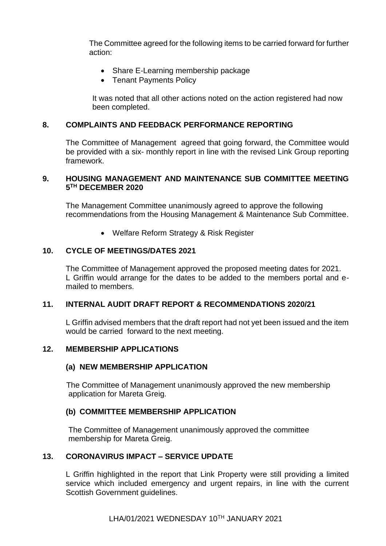The Committee agreed for the following items to be carried forward for further action:

- Share E-Learning membership package
- Tenant Payments Policy

It was noted that all other actions noted on the action registered had now been completed.

### **8. COMPLAINTS AND FEEDBACK PERFORMANCE REPORTING**

The Committee of Management agreed that going forward, the Committee would be provided with a six- monthly report in line with the revised Link Group reporting framework.

### **9. HOUSING MANAGEMENT AND MAINTENANCE SUB COMMITTEE MEETING 5 TH DECEMBER 2020**

The Management Committee unanimously agreed to approve the following recommendations from the Housing Management & Maintenance Sub Committee.

• Welfare Reform Strategy & Risk Register

## **10. CYCLE OF MEETINGS/DATES 2021**

The Committee of Management approved the proposed meeting dates for 2021. L Griffin would arrange for the dates to be added to the members portal and emailed to members.

### **11. INTERNAL AUDIT DRAFT REPORT & RECOMMENDATIONS 2020/21**

L Griffin advised members that the draft report had not yet been issued and the item would be carried forward to the next meeting.

### **12. MEMBERSHIP APPLICATIONS**

### **(a) NEW MEMBERSHIP APPLICATION**

The Committee of Management unanimously approved the new membership application for Mareta Greig.

# **(b) COMMITTEE MEMBERSHIP APPLICATION**

The Committee of Management unanimously approved the committee membership for Mareta Greig.

### **13. CORONAVIRUS IMPACT – SERVICE UPDATE**

L Griffin highlighted in the report that Link Property were still providing a limited service which included emergency and urgent repairs, in line with the current Scottish Government guidelines.